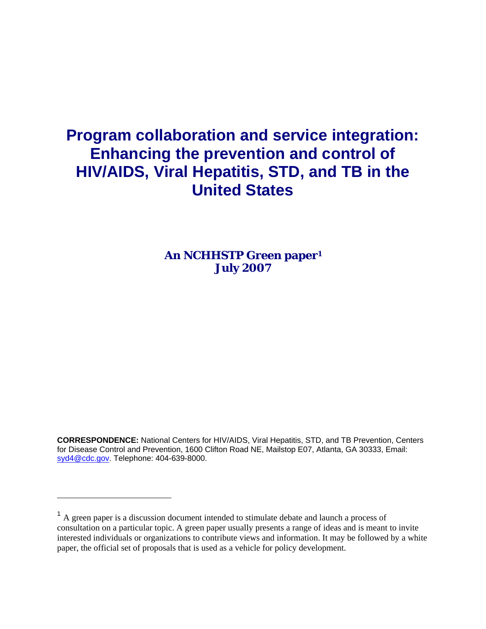# **Program collaboration and service integration: Enhancing the prevention and control of HIV/AIDS, Viral Hepatitis, STD, and TB in the United States**

**An NCHHSTP Green paper1 July 2007** 

**CORRESPONDENCE:** National Centers for HIV/AIDS, Viral Hepatitis, STD, and TB Prevention, Centers for Disease Control and Prevention, 1600 Clifton Road NE, Mailstop E07, Atlanta, GA 30333, Email: syd4@cdc.gov. Telephone: 404-639-8000.

 $\overline{a}$ 

<sup>&</sup>lt;sup>1</sup> A green paper is a discussion document intended to stimulate debate and launch a process of consultation on a particular topic. A green paper usually presents a range of ideas and is meant to invite interested individuals or organizations to contribute views and information. It may be followed by a white paper, the official set of proposals that is used as a vehicle for policy development.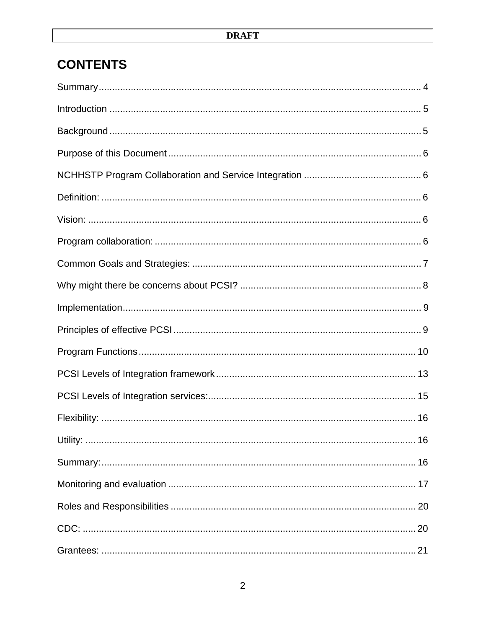# **CONTENTS**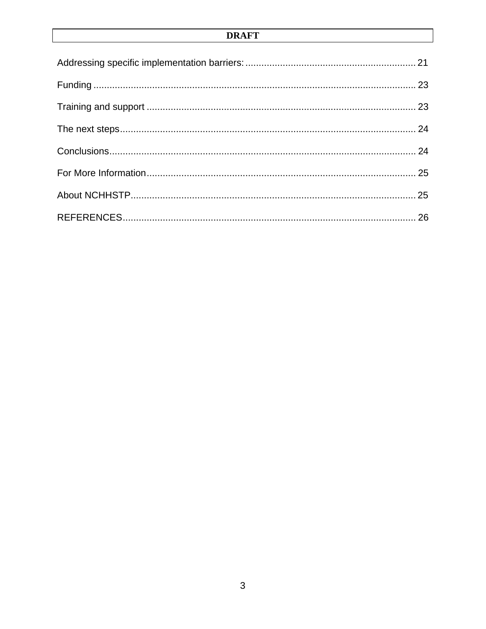## **DRAFT**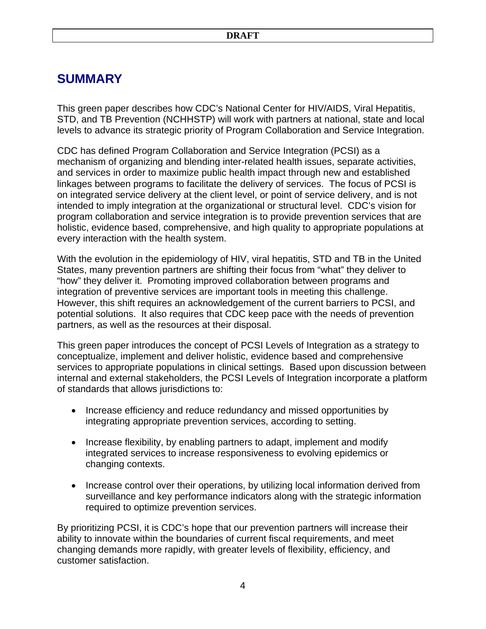# **SUMMARY**

This green paper describes how CDC's National Center for HIV/AIDS, Viral Hepatitis, STD, and TB Prevention (NCHHSTP) will work with partners at national, state and local levels to advance its strategic priority of Program Collaboration and Service Integration.

CDC has defined Program Collaboration and Service Integration (PCSI) as a mechanism of organizing and blending inter-related health issues, separate activities, and services in order to maximize public health impact through new and established linkages between programs to facilitate the delivery of services. The focus of PCSI is on integrated service delivery at the client level, or point of service delivery, and is not intended to imply integration at the organizational or structural level. CDC's vision for program collaboration and service integration is to provide prevention services that are holistic, evidence based, comprehensive, and high quality to appropriate populations at every interaction with the health system.

With the evolution in the epidemiology of HIV, viral hepatitis, STD and TB in the United States, many prevention partners are shifting their focus from "what" they deliver to "how" they deliver it. Promoting improved collaboration between programs and integration of preventive services are important tools in meeting this challenge. However, this shift requires an acknowledgement of the current barriers to PCSI, and potential solutions. It also requires that CDC keep pace with the needs of prevention partners, as well as the resources at their disposal.

This green paper introduces the concept of PCSI Levels of Integration as a strategy to conceptualize, implement and deliver holistic, evidence based and comprehensive services to appropriate populations in clinical settings. Based upon discussion between internal and external stakeholders, the PCSI Levels of Integration incorporate a platform of standards that allows jurisdictions to:

- Increase efficiency and reduce redundancy and missed opportunities by integrating appropriate prevention services, according to setting.
- Increase flexibility, by enabling partners to adapt, implement and modify integrated services to increase responsiveness to evolving epidemics or changing contexts.
- Increase control over their operations, by utilizing local information derived from surveillance and key performance indicators along with the strategic information required to optimize prevention services.

By prioritizing PCSI, it is CDC's hope that our prevention partners will increase their ability to innovate within the boundaries of current fiscal requirements, and meet changing demands more rapidly, with greater levels of flexibility, efficiency, and customer satisfaction.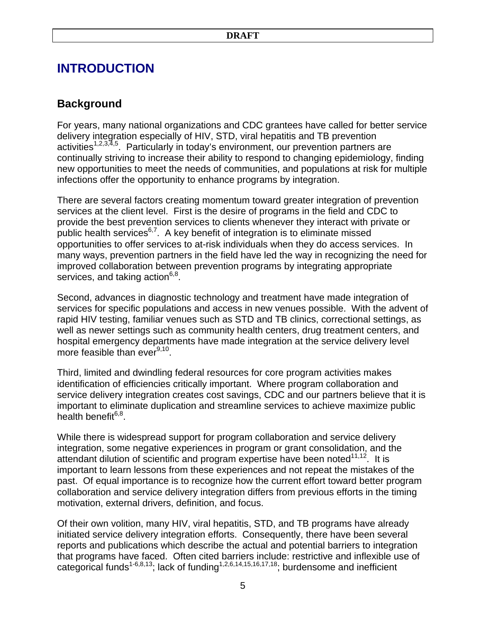# **INTRODUCTION**

## **Background**

For years, many national organizations and CDC grantees have called for better service delivery integration especially of HIV, STD, viral hepatitis and TB prevention activities<sup>1,2,3,4,5</sup>. Particularly in today's environment, our prevention partners are continually striving to increase their ability to respond to changing epidemiology, finding new opportunities to meet the needs of communities, and populations at risk for multiple infections offer the opportunity to enhance programs by integration.

There are several factors creating momentum toward greater integration of prevention services at the client level. First is the desire of programs in the field and CDC to provide the best prevention services to clients whenever they interact with private or public health services<sup> $6,7$ </sup>. A key benefit of integration is to eliminate missed opportunities to offer services to at-risk individuals when they do access services. In many ways, prevention partners in the field have led the way in recognizing the need for improved collaboration between prevention programs by integrating appropriate services, and taking action<sup>6,8</sup>.

Second, advances in diagnostic technology and treatment have made integration of services for specific populations and access in new venues possible. With the advent of rapid HIV testing, familiar venues such as STD and TB clinics, correctional settings, as well as newer settings such as community health centers, drug treatment centers, and hospital emergency departments have made integration at the service delivery level more feasible than ever $9,10$ .

Third, limited and dwindling federal resources for core program activities makes identification of efficiencies critically important. Where program collaboration and service delivery integration creates cost savings, CDC and our partners believe that it is important to eliminate duplication and streamline services to achieve maximize public health benefit $6,8$ .

While there is widespread support for program collaboration and service delivery integration, some negative experiences in program or grant consolidation, and the attendant dilution of scientific and program expertise have been noted $11,12$ . It is important to learn lessons from these experiences and not repeat the mistakes of the past. Of equal importance is to recognize how the current effort toward better program collaboration and service delivery integration differs from previous efforts in the timing motivation, external drivers, definition, and focus.

Of their own volition, many HIV, viral hepatitis, STD, and TB programs have already initiated service delivery integration efforts. Consequently, there have been several reports and publications which describe the actual and potential barriers to integration that programs have faced. Often cited barriers include: restrictive and inflexible use of categorical funds<sup>1-6,8,13</sup>; lack of funding<sup>1,2,6,14,15,16,17,18</sup>; burdensome and inefficient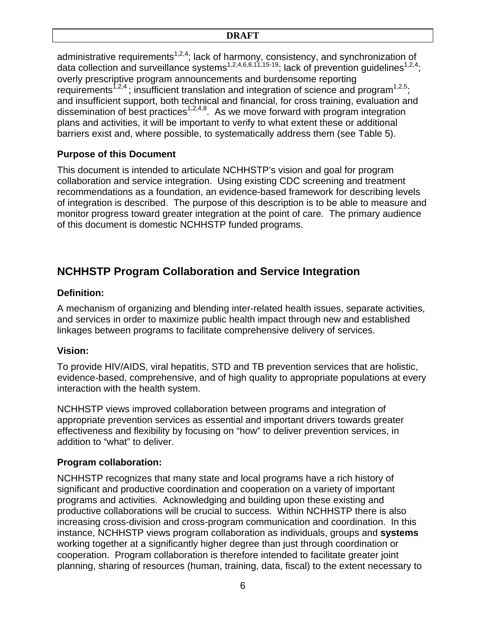administrative requirements<sup>1,2,4</sup>; lack of harmony, consistency, and synchronization of data collection and surveillance systems<sup>1,2,4,6,8,11,15-19</sup>; lack of prevention guidelines<sup>1,2,4</sup>; overly prescriptive program announcements and burdensome reporting requirements<sup>1,2,4</sup>; insufficient translation and integration of science and program<sup>1,2,5</sup>; and insufficient support, both technical and financial, for cross training, evaluation and dissemination of best practices<sup>1,2,4,8</sup>. As we move forward with program integration plans and activities, it will be important to verify to what extent these or additional barriers exist and, where possible, to systematically address them (see Table 5).

## **Purpose of this Document**

This document is intended to articulate NCHHSTP's vision and goal for program collaboration and service integration. Using existing CDC screening and treatment recommendations as a foundation, an evidence-based framework for describing levels of integration is described. The purpose of this description is to be able to measure and monitor progress toward greater integration at the point of care. The primary audience of this document is domestic NCHHSTP funded programs.

## **NCHHSTP Program Collaboration and Service Integration**

## **Definition:**

A mechanism of organizing and blending inter-related health issues, separate activities, and services in order to maximize public health impact through new and established linkages between programs to facilitate comprehensive delivery of services.

## **Vision:**

To provide HIV/AIDS, viral hepatitis, STD and TB prevention services that are holistic, evidence-based, comprehensive, and of high quality to appropriate populations at every interaction with the health system.

NCHHSTP views improved collaboration between programs and integration of appropriate prevention services as essential and important drivers towards greater effectiveness and flexibility by focusing on "how" to deliver prevention services, in addition to "what" to deliver.

## **Program collaboration:**

NCHHSTP recognizes that many state and local programs have a rich history of significant and productive coordination and cooperation on a variety of important programs and activities. Acknowledging and building upon these existing and productive collaborations will be crucial to success. Within NCHHSTP there is also increasing cross-division and cross-program communication and coordination. In this instance, NCHHSTP views program collaboration as individuals, groups and **systems** working together at a significantly higher degree than just through coordination or cooperation. Program collaboration is therefore intended to facilitate greater joint planning, sharing of resources (human, training, data, fiscal) to the extent necessary to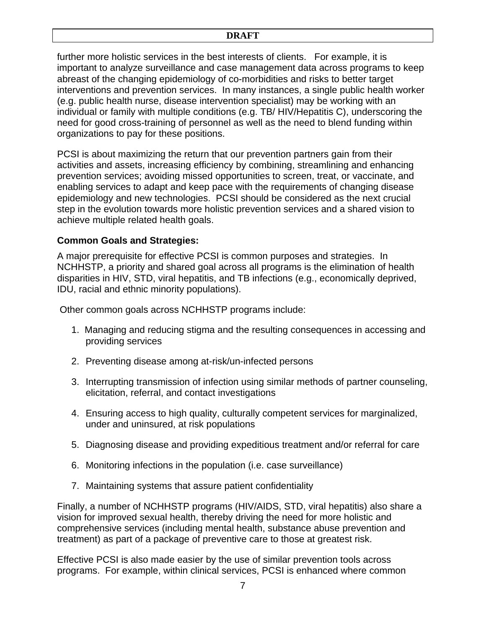further more holistic services in the best interests of clients. For example, it is important to analyze surveillance and case management data across programs to keep abreast of the changing epidemiology of co-morbidities and risks to better target interventions and prevention services. In many instances, a single public health worker (e.g. public health nurse, disease intervention specialist) may be working with an individual or family with multiple conditions (e.g. TB/ HIV/Hepatitis C), underscoring the need for good cross-training of personnel as well as the need to blend funding within organizations to pay for these positions.

PCSI is about maximizing the return that our prevention partners gain from their activities and assets, increasing efficiency by combining, streamlining and enhancing prevention services; avoiding missed opportunities to screen, treat, or vaccinate, and enabling services to adapt and keep pace with the requirements of changing disease epidemiology and new technologies. PCSI should be considered as the next crucial step in the evolution towards more holistic prevention services and a shared vision to achieve multiple related health goals.

## **Common Goals and Strategies:**

A major prerequisite for effective PCSI is common purposes and strategies. In NCHHSTP, a priority and shared goal across all programs is the elimination of health disparities in HIV, STD, viral hepatitis, and TB infections (e.g., economically deprived, IDU, racial and ethnic minority populations).

Other common goals across NCHHSTP programs include:

- 1. Managing and reducing stigma and the resulting consequences in accessing and providing services
- 2. Preventing disease among at-risk/un-infected persons
- 3. Interrupting transmission of infection using similar methods of partner counseling, elicitation, referral, and contact investigations
- Ensuring access to high quality, culturally competent services for marginalized, 4. under and uninsured, at risk populations
- 5. Diagnosing disease and providing expeditious treatment and/or referral for care
- Monitoring infections in the population (i.e. case surveillance) 6.
- Maintaining systems that assure patient confidentiality 7.

Finally, a number of NCHHSTP programs (HIV/AIDS, STD, viral hepatitis) also share a vision for improved sexual health, thereby driving the need for more holistic and comprehensive services (including mental health, substance abuse prevention and treatment) as part of a package of preventive care to those at greatest risk.

Effective PCSI is also made easier by the use of similar prevention tools across programs. For example, within clinical services, PCSI is enhanced where common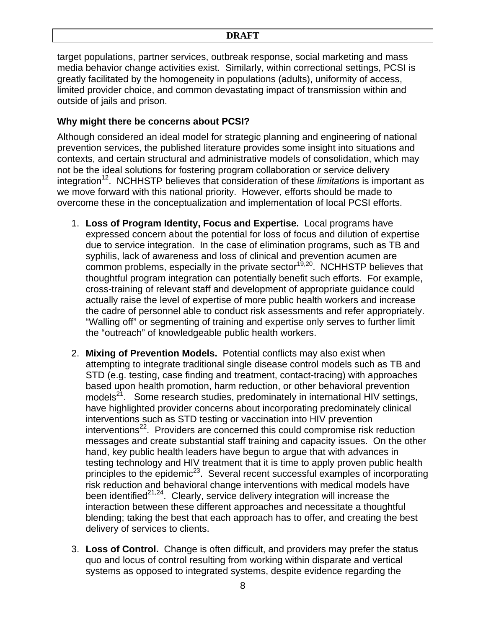target populations, partner services, outbreak response, social marketing and mass media behavior change activities exist. Similarly, within correctional settings, PCSI is greatly facilitated by the homogeneity in populations (adults), uniformity of access, limited provider choice, and common devastating impact of transmission within and outside of jails and prison.

## **Why might there be concerns about PCSI?**

Although considered an ideal model for strategic planning and engineering of national prevention services, the published literature provides some insight into situations and contexts, and certain structural and administrative models of consolidation, which may not be the ideal solutions for fostering program collaboration or service delivery integration<sup>12</sup>. NCHHSTP believes that consideration of these *limitations* is important as we move forward with this national priority. However, efforts should be made to overcome these in the conceptualization and implementation of local PCSI efforts.

- 1. **Loss of Program Identity, Focus and Expertise.** Local programs have expressed concern about the potential for loss of focus and dilution of expertise due to service integration. In the case of elimination programs, such as TB and syphilis, lack of awareness and loss of clinical and prevention acumen are  $c$ ommon problems, especially in the private sector<sup>19,20</sup>. NCHHSTP believes that thoughtful program integration can potentially benefit such efforts. For example, cross-training of relevant staff and development of appropriate guidance could actually raise the level of expertise of more public health workers and increase the cadre of personnel able to conduct risk assessments and refer appropriately. "Walling off" or segmenting of training and expertise only serves to further limit the "outreach" of knowledgeable public health workers.
- 2. **Mixing of Prevention Models.** Potential conflicts may also exist when attempting to integrate traditional single disease control models such as TB and STD (e.g. testing, case finding and treatment, contact-tracing) with approaches based upon health promotion, harm reduction, or other behavioral prevention models<sup>21</sup>. Some research studies, predominately in international HIV settings, have highlighted provider concerns about incorporating predominately clinical interventions such as STD testing or vaccination into HIV prevention interventions<sup>22</sup>. Providers are concerned this could compromise risk reduction messages and create substantial staff training and capacity issues. On the other hand, key public health leaders have begun to argue that with advances in testing technology and HIV treatment that it is time to apply proven public health principles to the epidemic<sup>23</sup>. Several recent successful examples of incorporating risk reduction and behavioral change interventions with medical models have been identified<sup>21,24</sup>. Clearly, service delivery integration will increase the interaction between these different approaches and necessitate a thoughtful blending; taking the best that each approach has to offer, and creating the best delivery of services to clients.
- 3. **Loss of Control.** Change is often difficult, and providers may prefer the status quo and locus of control resulting from working within disparate and vertical systems as opposed to integrated systems, despite evidence regarding the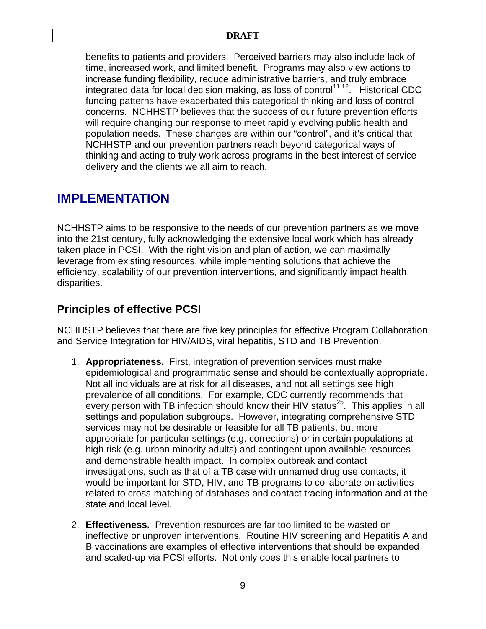benefits to patients and providers. Perceived barriers may also include lack of time, increased work, and limited benefit. Programs may also view actions to increase funding flexibility, reduce administrative barriers, and truly embrace integrated data for local decision making, as loss of control<sup>11,12</sup>. Historical CDC funding patterns have exacerbated this categorical thinking and loss of control concerns. NCHHSTP believes that the success of our future prevention efforts will require changing our response to meet rapidly evolving public health and population needs. These changes are within our "control", and it's critical that NCHHSTP and our prevention partners reach beyond categorical ways of thinking and acting to truly work across programs in the best interest of service delivery and the clients we all aim to reach.

## **IMPLEMENTATION**

NCHHSTP aims to be responsive to the needs of our prevention partners as we move into the 21st century, fully acknowledging the extensive local work which has already taken place in PCSI. With the right vision and plan of action, we can maximally leverage from existing resources, while implementing solutions that achieve the efficiency, scalability of our prevention interventions, and significantly impact health disparities.

## **Principles of effective PCSI**

NCHHSTP believes that there are five key principles for effective Program Collaboration and Service Integration for HIV/AIDS, viral hepatitis, STD and TB Prevention.

- 1. **Appropriateness.** First, integration of prevention services must make epidemiological and programmatic sense and should be contextually appropriate. Not all individuals are at risk for all diseases, and not all settings see high prevalence of all conditions. For example, CDC currently recommends that every person with TB infection should know their HIV status<sup>25</sup>. This applies in all settings and population subgroups. However, integrating comprehensive STD services may not be desirable or feasible for all TB patients, but more appropriate for particular settings (e.g. corrections) or in certain populations at high risk (e.g. urban minority adults) and contingent upon available resources and demonstrable health impact. In complex outbreak and contact investigations, such as that of a TB case with unnamed drug use contacts, it would be important for STD, HIV, and TB programs to collaborate on activities related to cross-matching of databases and contact tracing information and at the state and local level.
- 2. **Effectiveness.** Prevention resources are far too limited to be wasted on ineffective or unproven interventions. Routine HIV screening and Hepatitis A and B vaccinations are examples of effective interventions that should be expanded and scaled-up via PCSI efforts. Not only does this enable local partners to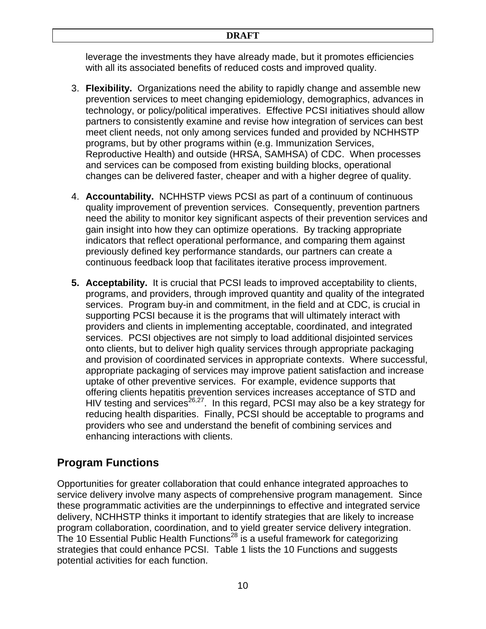leverage the investments they have already made, but it promotes efficiencies with all its associated benefits of reduced costs and improved quality.

- 3. **Flexibility.** Organizations need the ability to rapidly change and assemble new prevention services to meet changing epidemiology, demographics, advances in technology, or policy/political imperatives. Effective PCSI initiatives should allow partners to consistently examine and revise how integration of services can best meet client needs, not only among services funded and provided by NCHHSTP programs, but by other programs within (e.g. Immunization Services, Reproductive Health) and outside (HRSA, SAMHSA) of CDC. When processes and services can be composed from existing building blocks, operational changes can be delivered faster, cheaper and with a higher degree of quality.
- 4. **Accountability.** NCHHSTP views PCSI as part of a continuum of continuous quality improvement of prevention services. Consequently, prevention partners need the ability to monitor key significant aspects of their prevention services and gain insight into how they can optimize operations. By tracking appropriate indicators that reflect operational performance, and comparing them against previously defined key performance standards, our partners can create a continuous feedback loop that facilitates iterative process improvement.
- **5. Acceptability.** It is crucial that PCSI leads to improved acceptability to clients, programs, and providers, through improved quantity and quality of the integrated services. Program buy-in and commitment, in the field and at CDC, is crucial in supporting PCSI because it is the programs that will ultimately interact with providers and clients in implementing acceptable, coordinated, and integrated services. PCSI objectives are not simply to load additional disjointed services onto clients, but to deliver high quality services through appropriate packaging and provision of coordinated services in appropriate contexts. Where successful, appropriate packaging of services may improve patient satisfaction and increase uptake of other preventive services. For example, evidence supports that offering clients hepatitis prevention services increases acceptance of STD and HIV testing and services<sup>26,27</sup>. In this regard, PCSI may also be a key strategy for reducing health disparities. Finally, PCSI should be acceptable to programs and providers who see and understand the benefit of combining services and enhancing interactions with clients.

## **Program Functions**

Opportunities for greater collaboration that could enhance integrated approaches to service delivery involve many aspects of comprehensive program management. Since these programmatic activities are the underpinnings to effective and integrated service delivery, NCHHSTP thinks it important to identify strategies that are likely to increase program collaboration, coordination, and to yield greater service delivery integration. The 10 Essential Public Health Functions<sup>28</sup> is a useful framework for categorizing strategies that could enhance PCSI. Table 1 lists the 10 Functions and suggests potential activities for each function.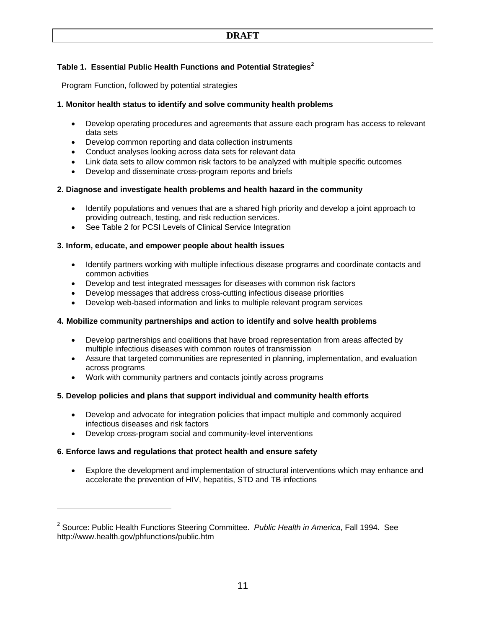## **Table 1. Essential Public Health Functions and Potential Strategies<sup>2</sup>**

Program Function, followed by potential strategies

## **1. Monitor health status to identify and solve community health problems**

- Develop operating procedures and agreements that assure each program has access to relevant data sets
- Develop common reporting and data collection instruments
- Conduct analyses looking across data sets for relevant data
- Link data sets to allow common risk factors to be analyzed with multiple specific outcomes
- Develop and disseminate cross-program reports and briefs

## **2. Diagnose and investigate health problems and health hazard in the community**

- Identify populations and venues that are a shared high priority and develop a joint approach to providing outreach, testing, and risk reduction services.
- See Table 2 for PCSI Levels of Clinical Service Integration

## **3. Inform, educate, and empower people about health issues**

- Identify partners working with multiple infectious disease programs and coordinate contacts and common activities
- Develop and test integrated messages for diseases with common risk factors
- Develop messages that address cross-cutting infectious disease priorities
- Develop web-based information and links to multiple relevant program services

## **4. Mobilize community partnerships and action to identify and solve health problems**

- Develop partnerships and coalitions that have broad representation from areas affected by multiple infectious diseases with common routes of transmission
- Assure that targeted communities are represented in planning, implementation, and evaluation across programs
- Work with community partners and contacts jointly across programs

## **5. Develop policies and plans that support individual and community health efforts**

- Develop and advocate for integration policies that impact multiple and commonly acquired infectious diseases and risk factors
- Develop cross-program social and community-level interventions

## **6. Enforce laws and regulations that protect health and ensure safety**

 $\overline{a}$ 

• Explore the development and implementation of structural interventions which may enhance and accelerate the prevention of HIV, hepatitis, STD and TB infections

<sup>2</sup> Source: Public Health Functions Steering Committee. *Public Health in America*, Fall 1994. See http://www.health.gov/phfunctions/public.htm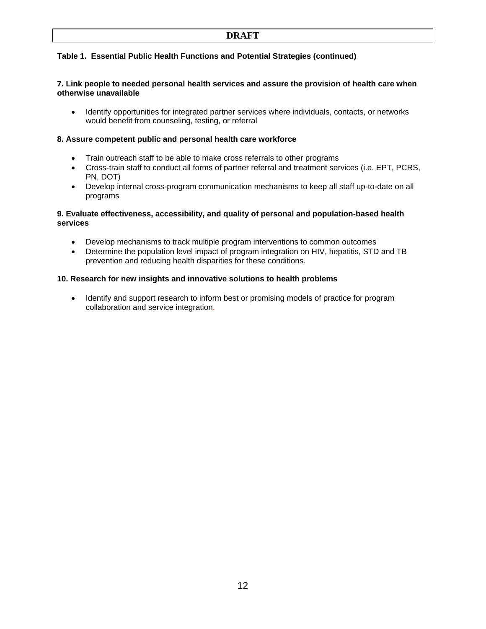## **DRAFT**

## **Table 1. Essential Public Health Functions and Potential Strategies (continued)**

### **7. Link people to needed personal health services and assure the provision of health care when otherwise unavailable**

• Identify opportunities for integrated partner services where individuals, contacts, or networks would benefit from counseling, testing, or referral

#### **8. Assure competent public and personal health care workforce**

- Train outreach staff to be able to make cross referrals to other programs
- Cross-train staff to conduct all forms of partner referral and treatment services (i.e. EPT, PCRS, PN, DOT)
- Develop internal cross-program communication mechanisms to keep all staff up-to-date on all programs

### **9. Evaluate effectiveness, accessibility, and quality of personal and population-based health services**

- Develop mechanisms to track multiple program interventions to common outcomes
- Determine the population level impact of program integration on HIV, hepatitis, STD and TB prevention and reducing health disparities for these conditions.

#### **10. Research for new insights and innovative solutions to health problems**

• Identify and support research to inform best or promising models of practice for program collaboration and service integration.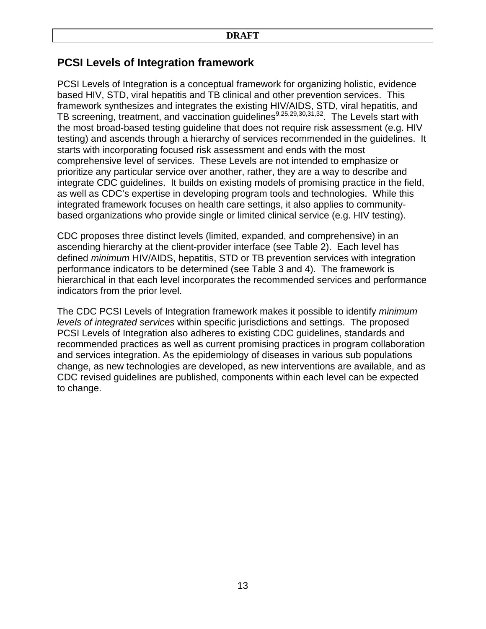## **PCSI Levels of Integration framework**

PCSI Levels of Integration is a conceptual framework for organizing holistic, evidence based HIV, STD, viral hepatitis and TB clinical and other prevention services. This framework synthesizes and integrates the existing HIV/AIDS, STD, viral hepatitis, and TB screening, treatment, and vaccination guidelines<sup>9,25,29,30,31,32</sup>. The Levels start with the most broad-based testing guideline that does not require risk assessment (e.g. HIV testing) and ascends through a hierarchy of services recommended in the guidelines. It starts with incorporating focused risk assessment and ends with the most comprehensive level of services. These Levels are not intended to emphasize or prioritize any particular service over another, rather, they are a way to describe and integrate CDC guidelines. It builds on existing models of promising practice in the field, as well as CDC's expertise in developing program tools and technologies. While this integrated framework focuses on health care settings, it also applies to communitybased organizations who provide single or limited clinical service (e.g. HIV testing).

CDC proposes three distinct levels (limited, expanded, and comprehensive) in an ascending hierarchy at the client-provider interface (see Table 2). Each level has defined *minimum* HIV/AIDS, hepatitis, STD or TB prevention services with integration performance indicators to be determined (see Table 3 and 4). The framework is hierarchical in that each level incorporates the recommended services and performance indicators from the prior level.

The CDC PCSI Levels of Integration framework makes it possible to identify *minimum levels of integrated services* within specific jurisdictions and settings. The proposed PCSI Levels of Integration also adheres to existing CDC guidelines, standards and recommended practices as well as current promising practices in program collaboration and services integration. As the epidemiology of diseases in various sub populations change, as new technologies are developed, as new interventions are available, and as CDC revised guidelines are published, components within each level can be expected to change.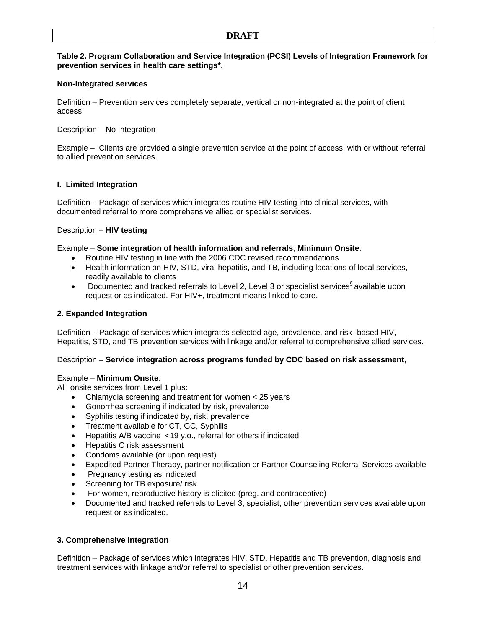## **DRAFT**

### **Table 2. Program Collaboration and Service Integration (PCSI) Levels of Integration Framework for prevention services in health care settings\*.**

## **Non-Integrated services**

Definition – Prevention services completely separate, vertical or non-integrated at the point of client access

Description – No Integration

Example – Clients are provided a single prevention service at the point of access, with or without referral to allied prevention services.

## **I. Limited Integration**

Definition – Package of services which integrates routine HIV testing into clinical services, with documented referral to more comprehensive allied or specialist services.

## Description – **HIV testing**

#### Example – **Some integration of health information and referrals**, **Minimum Onsite**:

- Routine HIV testing in line with the 2006 CDC revised recommendations
- Health information on HIV, STD, viral hepatitis, and TB, including locations of local services, readily available to clients
- Documented and tracked referrals to Level 2, Level 3 or specialist services<sup>§</sup> available upon request or as indicated. For HIV+, treatment means linked to care.

### **2. Expanded Integration**

Definition – Package of services which integrates selected age, prevalence, and risk- based HIV, Hepatitis, STD, and TB prevention services with linkage and/or referral to comprehensive allied services.

#### Description – **Service integration across programs funded by CDC based on risk assessment**,

#### Example – **Minimum Onsite**:

All onsite services from Level 1 plus:

- Chlamydia screening and treatment for women < 25 years
- Gonorrhea screening if indicated by risk, prevalence
- Syphilis testing if indicated by, risk, prevalence
- Treatment available for CT, GC, Syphilis
- Hepatitis A/B vaccine <19 y.o., referral for others if indicated
- Hepatitis C risk assessment
- Condoms available (or upon request)
- Expedited Partner Therapy, partner notification or Partner Counseling Referral Services available
- Pregnancy testing as indicated
- Screening for TB exposure/ risk
- For women, reproductive history is elicited (preg. and contraceptive)
- Documented and tracked referrals to Level 3, specialist, other prevention services available upon request or as indicated.

## **3. Comprehensive Integration**

Definition – Package of services which integrates HIV, STD, Hepatitis and TB prevention, diagnosis and treatment services with linkage and/or referral to specialist or other prevention services.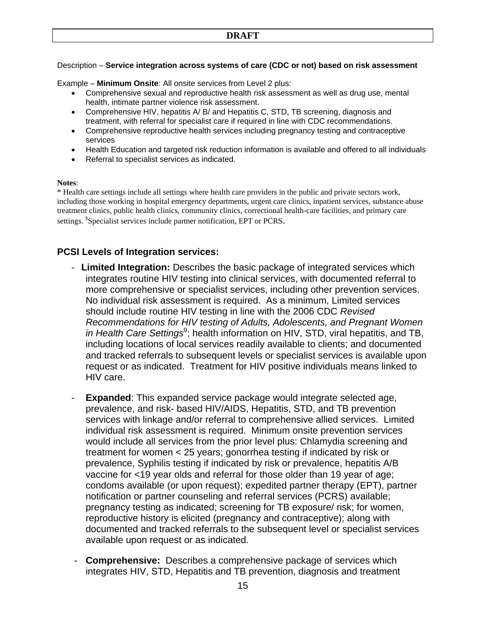## Description – **Service integration across systems of care (CDC or not) based on risk assessment**

Example – **Minimum Onsite**: All onsite services from Level 2 plus:

- Comprehensive sexual and reproductive health risk assessment as well as drug use, mental health, intimate partner violence risk assessment.
- Comprehensive HIV, hepatitis A/ B/ and Hepatitis C, STD, TB screening, diagnosis and treatment, with referral for specialist care if required in line with CDC recommendations.
- Comprehensive reproductive health services including pregnancy testing and contraceptive services
- Health Education and targeted risk reduction information is available and offered to all individuals
- Referral to specialist services as indicated.

#### **Notes**:

\* Health care settings include all settings where health care providers in the public and private sectors work, including those working in hospital emergency departments, urgent care clinics, inpatient services, substance abuse treatment clinics, public health clinics, community clinics, correctional health-care facilities, and primary care settings. <sup>§</sup>Specialist services include partner notification, EPT or PCRS.

## **PCSI Levels of Integration services:**

- **Limited Integration:** Describes the basic package of integrated services which integrates routine HIV testing into clinical services, with documented referral to more comprehensive or specialist services, including other prevention services. No individual risk assessment is required. As a minimum, Limited services should include routine HIV testing in line with the 2006 CDC *Revised Recommendations for HIV testing of Adults, Adolescents, and Pregnant Women*  in Health Care Settings<sup>9</sup>; health information on HIV, STD, viral hepatitis, and TB, including locations of local services readily available to clients; and documented and tracked referrals to subsequent levels or specialist services is available upon request or as indicated. Treatment for HIV positive individuals means linked to HIV care.
- **Expanded**: This expanded service package would integrate selected age, prevalence, and risk- based HIV/AIDS, Hepatitis, STD, and TB prevention services with linkage and/or referral to comprehensive allied services. Limited individual risk assessment is required. Minimum onsite prevention services would include all services from the prior level plus: Chlamydia screening and treatment for women < 25 years; gonorrhea testing if indicated by risk or prevalence, Syphilis testing if indicated by risk or prevalence, hepatitis A/B vaccine for <19 year olds and referral for those older than 19 year of age; condoms available (or upon request); expedited partner therapy (EPT), partner notification or partner counseling and referral services (PCRS) available; pregnancy testing as indicated; screening for TB exposure/ risk; for women, reproductive history is elicited (pregnancy and contraceptive); along with documented and tracked referrals to the subsequent level or specialist services available upon request or as indicated. -
- **Comprehensive:** Describes a comprehensive package of services which integrates HIV, STD, Hepatitis and TB prevention, diagnosis and treatment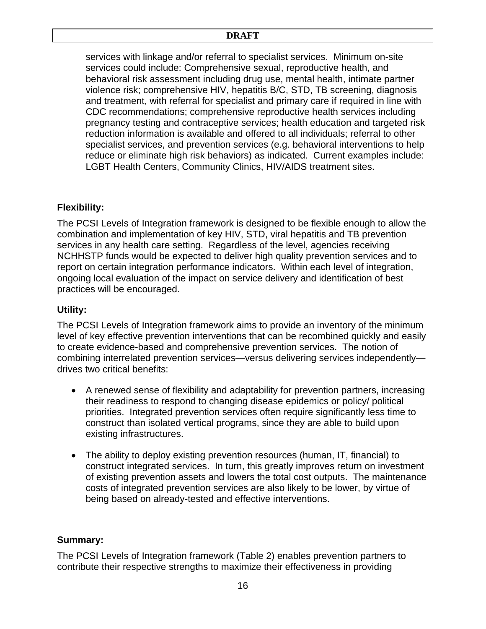## **DRAFT**

services with linkage and/or referral to specialist services. Minimum on-site services could include: Comprehensive sexual, reproductive health, and behavioral risk assessment including drug use, mental health, intimate partner violence risk; comprehensive HIV, hepatitis B/C, STD, TB screening, diagnosis and treatment, with referral for specialist and primary care if required in line with CDC recommendations; comprehensive reproductive health services including pregnancy testing and contraceptive services; health education and targeted risk reduction information is available and offered to all individuals; referral to other specialist services, and prevention services (e.g. behavioral interventions to help reduce or eliminate high risk behaviors) as indicated. Current examples include: LGBT Health Centers, Community Clinics, HIV/AIDS treatment sites.

## **Flexibility:**

The PCSI Levels of Integration framework is designed to be flexible enough to allow the combination and implementation of key HIV, STD, viral hepatitis and TB prevention services in any health care setting. Regardless of the level, agencies receiving NCHHSTP funds would be expected to deliver high quality prevention services and to report on certain integration performance indicators. Within each level of integration, ongoing local evaluation of the impact on service delivery and identification of best practices will be encouraged.

## **Utility:**

The PCSI Levels of Integration framework aims to provide an inventory of the minimum level of key effective prevention interventions that can be recombined quickly and easily to create evidence-based and comprehensive prevention services. The notion of combining interrelated prevention services—versus delivering services independently drives two critical benefits:

- A renewed sense of flexibility and adaptability for prevention partners, increasing their readiness to respond to changing disease epidemics or policy/ political priorities. Integrated prevention services often require significantly less time to construct than isolated vertical programs, since they are able to build upon existing infrastructures.
- The ability to deploy existing prevention resources (human, IT, financial) to construct integrated services. In turn, this greatly improves return on investment of existing prevention assets and lowers the total cost outputs. The maintenance costs of integrated prevention services are also likely to be lower, by virtue of being based on already-tested and effective interventions.

## **Summary:**

The PCSI Levels of Integration framework (Table 2) enables prevention partners to contribute their respective strengths to maximize their effectiveness in providing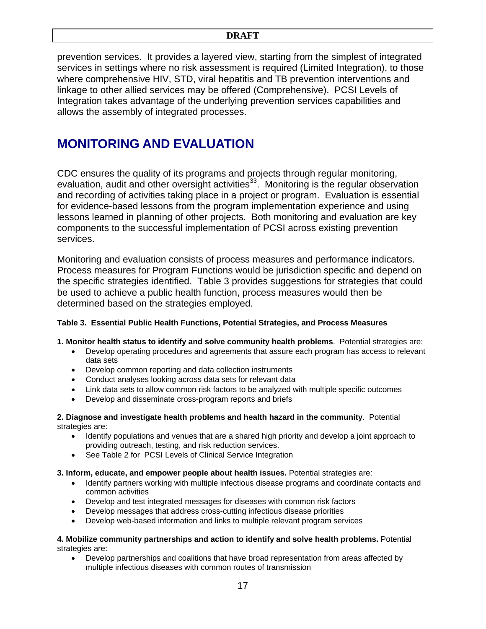prevention services. It provides a layered view, starting from the simplest of integrated services in settings where no risk assessment is required (Limited Integration), to those where comprehensive HIV, STD, viral hepatitis and TB prevention interventions and linkage to other allied services may be offered (Comprehensive). PCSI Levels of Integration takes advantage of the underlying prevention services capabilities and allows the assembly of integrated processes.

# **MONITORING AND EVALUATION**

CDC ensures the quality of its programs and projects through regular monitoring, evaluation, audit and other oversight activities<sup>33</sup>. Monitoring is the regular observation and recording of activities taking place in a project or program. Evaluation is essential for evidence-based lessons from the program implementation experience and using lessons learned in planning of other projects. Both monitoring and evaluation are key components to the successful implementation of PCSI across existing prevention services.

Monitoring and evaluation consists of process measures and performance indicators. Process measures for Program Functions would be jurisdiction specific and depend on the specific strategies identified. Table 3 provides suggestions for strategies that could be used to achieve a public health function, process measures would then be determined based on the strategies employed.

## **Table 3. Essential Public Health Functions, Potential Strategies, and Process Measures**

**1. Monitor health status to identify and solve community health problems**. Potential strategies are:

- Develop operating procedures and agreements that assure each program has access to relevant data sets
- Develop common reporting and data collection instruments
- Conduct analyses looking across data sets for relevant data
- Link data sets to allow common risk factors to be analyzed with multiple specific outcomes
- Develop and disseminate cross-program reports and briefs

## **2. Diagnose and investigate health problems and health hazard in the community**. Potential strategies are:

- Identify populations and venues that are a shared high priority and develop a joint approach to providing outreach, testing, and risk reduction services.
- See Table 2 for PCSI Levels of Clinical Service Integration

## **3. Inform, educate, and empower people about health issues.** Potential strategies are:

- Identify partners working with multiple infectious disease programs and coordinate contacts and common activities
- Develop and test integrated messages for diseases with common risk factors
- Develop messages that address cross-cutting infectious disease priorities
- Develop web-based information and links to multiple relevant program services

#### **4. Mobilize community partnerships and action to identify and solve health problems.** Potential strategies are:

• Develop partnerships and coalitions that have broad representation from areas affected by multiple infectious diseases with common routes of transmission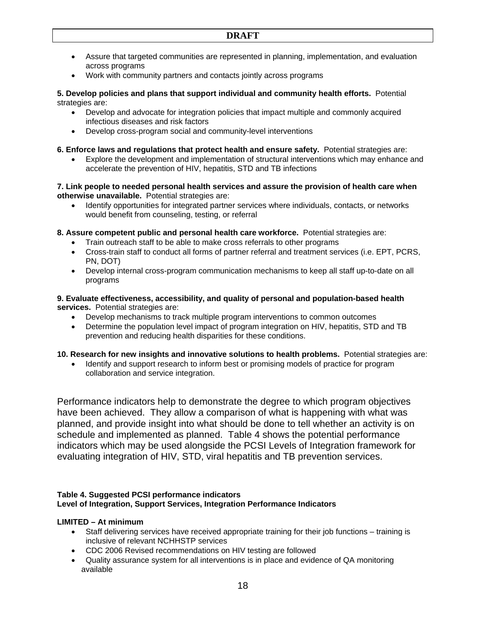- Assure that targeted communities are represented in planning, implementation, and evaluation across programs
- Work with community partners and contacts jointly across programs

## **5. Develop policies and plans that support individual and community health efforts.** Potential strategies are:

- Develop and advocate for integration policies that impact multiple and commonly acquired infectious diseases and risk factors
- Develop cross-program social and community-level interventions

## **6. Enforce laws and regulations that protect health and ensure safety.** Potential strategies are:

• Explore the development and implementation of structural interventions which may enhance and accelerate the prevention of HIV, hepatitis, STD and TB infections

### **7. Link people to needed personal health services and assure the provision of health care when otherwise unavailable.** Potential strategies are:

- Identify opportunities for integrated partner services where individuals, contacts, or networks would benefit from counseling, testing, or referral
- **8. Assure competent public and personal health care workforce.** Potential strategies are:
	- Train outreach staff to be able to make cross referrals to other programs
	- Cross-train staff to conduct all forms of partner referral and treatment services (i.e. EPT, PCRS, PN, DOT)
	- Develop internal cross-program communication mechanisms to keep all staff up-to-date on all programs

## **9. Evaluate effectiveness, accessibility, and quality of personal and population-based health services.** Potential strategies are:

- Develop mechanisms to track multiple program interventions to common outcomes
- Determine the population level impact of program integration on HIV, hepatitis, STD and TB prevention and reducing health disparities for these conditions.

## **10. Research for new insights and innovative solutions to health problems.** Potential strategies are:

• Identify and support research to inform best or promising models of practice for program collaboration and service integration.

Performance indicators help to demonstrate the degree to which program objectives have been achieved. They allow a comparison of what is happening with what was planned, and provide insight into what should be done to tell whether an activity is on schedule and implemented as planned. Table 4 shows the potential performance indicators which may be used alongside the PCSI Levels of Integration framework for evaluating integration of HIV, STD, viral hepatitis and TB prevention services.

## **Table 4. Suggested PCSI performance indicators Level of Integration, Support Services, Integration Performance Indicators**

## **LIMITED – At minimum**

- Staff delivering services have received appropriate training for their job functions training is inclusive of relevant NCHHSTP services
- CDC 2006 Revised recommendations on HIV testing are followed
- Quality assurance system for all interventions is in place and evidence of QA monitoring available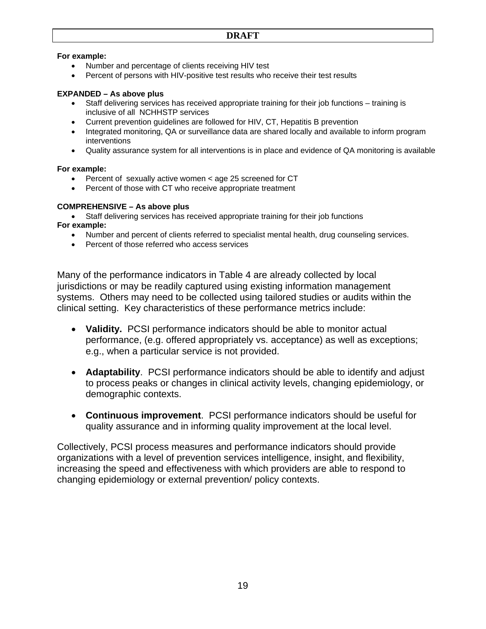## **For example:**

- Number and percentage of clients receiving HIV test
- Percent of persons with HIV-positive test results who receive their test results

## **EXPANDED – As above plus**

- Staff delivering services has received appropriate training for their job functions training is inclusive of all NCHHSTP services
- Current prevention guidelines are followed for HIV, CT, Hepatitis B prevention
- Integrated monitoring, QA or surveillance data are shared locally and available to inform program interventions
- Quality assurance system for all interventions is in place and evidence of QA monitoring is available

## **For example:**

- Percent of sexually active women < age 25 screened for CT
- Percent of those with CT who receive appropriate treatment

## **COMPREHENSIVE – As above plus**

- Staff delivering services has received appropriate training for their job functions **For example:**
	- Number and percent of clients referred to specialist mental health, drug counseling services.
	- Percent of those referred who access services

Many of the performance indicators in Table 4 are already collected by local jurisdictions or may be readily captured using existing information management systems. Others may need to be collected using tailored studies or audits within the clinical setting. Key characteristics of these performance metrics include:

- **Validity.** PCSI performance indicators should be able to monitor actual performance, (e.g. offered appropriately vs. acceptance) as well as exceptions; e.g., when a particular service is not provided.
- **Adaptability**. PCSI performance indicators should be able to identify and adjust to process peaks or changes in clinical activity levels, changing epidemiology, or demographic contexts.
- **Continuous improvement**. PCSI performance indicators should be useful for quality assurance and in informing quality improvement at the local level.

Collectively, PCSI process measures and performance indicators should provide organizations with a level of prevention services intelligence, insight, and flexibility, increasing the speed and effectiveness with which providers are able to respond to changing epidemiology or external prevention/ policy contexts.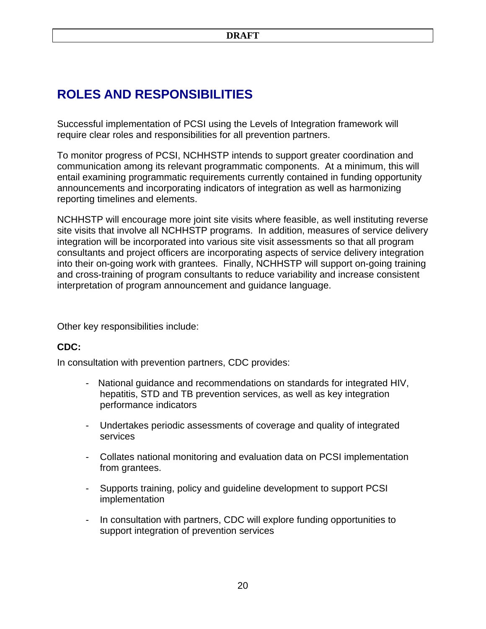# **ROLES AND RESPONSIBILITIES**

Successful implementation of PCSI using the Levels of Integration framework will require clear roles and responsibilities for all prevention partners.

To monitor progress of PCSI, NCHHSTP intends to support greater coordination and communication among its relevant programmatic components. At a minimum, this will entail examining programmatic requirements currently contained in funding opportunity announcements and incorporating indicators of integration as well as harmonizing reporting timelines and elements.

NCHHSTP will encourage more joint site visits where feasible, as well instituting reverse site visits that involve all NCHHSTP programs. In addition, measures of service delivery integration will be incorporated into various site visit assessments so that all program consultants and project officers are incorporating aspects of service delivery integration into their on-going work with grantees. Finally, NCHHSTP will support on-going training and cross-training of program consultants to reduce variability and increase consistent interpretation of program announcement and guidance language.

Other key responsibilities include:

## **CDC:**

In consultation with prevention partners, CDC provides:

- National guidance and recommendations on standards for integrated HIV, hepatitis, STD and TB prevention services, as well as key integration performance indicators
- Undertakes periodic assessments of coverage and quality of integrated services
- Collates national monitoring and evaluation data on PCSI implementation from grantees.
- Supports training, policy and guideline development to support PCSI implementation
- In consultation with partners, CDC will explore funding opportunities to support integration of prevention services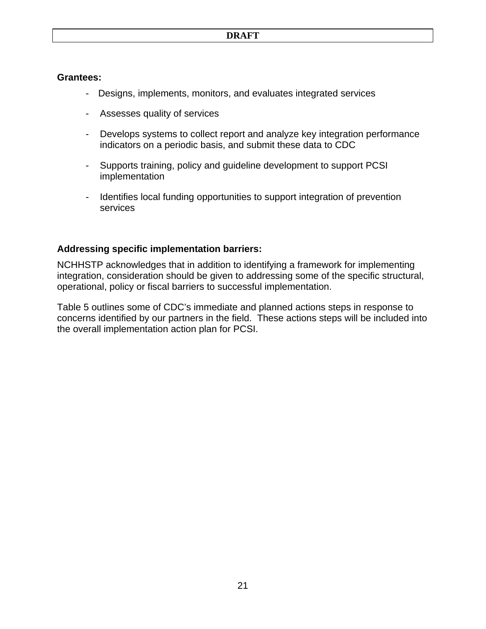## **Grantees:**

- Designs, implements, monitors, and evaluates integrated services
- Assesses quality of services -
- Develops systems to collect report and analyze key integration performance indicators on a periodic basis, and submit these data to CDC
- Supports training, policy and guideline development to support PCSI implementation -
- Identifies local funding opportunities to support integration of prevention services -

## **Addressing specific implementation barriers:**

NCHHSTP acknowledges that in addition to identifying a framework for implementing integration, consideration should be given to addressing some of the specific structural, operational, policy or fiscal barriers to successful implementation.

Table 5 outlines some of CDC's immediate and planned actions steps in response to concerns identified by our partners in the field. These actions steps will be included into the overall implementation action plan for PCSI.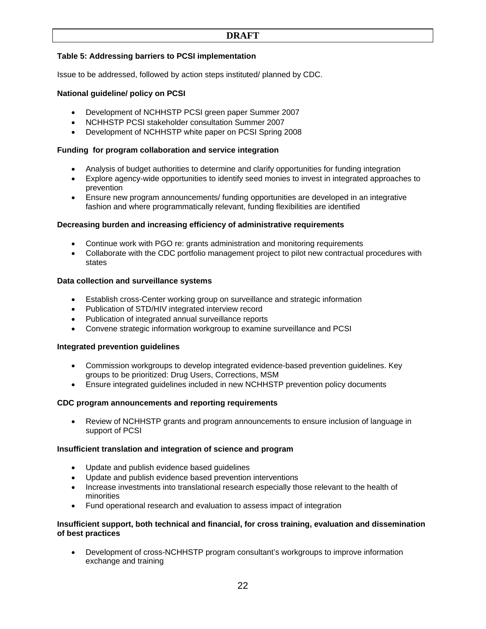## **DRAFT**

## **Table 5: Addressing barriers to PCSI implementation**

Issue to be addressed, followed by action steps instituted/ planned by CDC.

### **National guideline/ policy on PCSI**

- Development of NCHHSTP PCSI green paper Summer 2007
- NCHHSTP PCSI stakeholder consultation Summer 2007
- Development of NCHHSTP white paper on PCSI Spring 2008

### **Funding for program collaboration and service integration**

- Analysis of budget authorities to determine and clarify opportunities for funding integration
- Explore agency-wide opportunities to identify seed monies to invest in integrated approaches to prevention
- Ensure new program announcements/ funding opportunities are developed in an integrative fashion and where programmatically relevant, funding flexibilities are identified

#### **Decreasing burden and increasing efficiency of administrative requirements**

- Continue work with PGO re: grants administration and monitoring requirements
- Collaborate with the CDC portfolio management project to pilot new contractual procedures with states

#### **Data collection and surveillance systems**

- Establish cross-Center working group on surveillance and strategic information
- Publication of STD/HIV integrated interview record
- Publication of integrated annual surveillance reports
- Convene strategic information workgroup to examine surveillance and PCSI

#### **Integrated prevention guidelines**

- Commission workgroups to develop integrated evidence-based prevention guidelines. Key groups to be prioritized: Drug Users, Corrections, MSM
- Ensure integrated guidelines included in new NCHHSTP prevention policy documents

#### **CDC program announcements and reporting requirements**

• Review of NCHHSTP grants and program announcements to ensure inclusion of language in support of PCSI

#### **Insufficient translation and integration of science and program**

- Update and publish evidence based guidelines
- Update and publish evidence based prevention interventions
- Increase investments into translational research especially those relevant to the health of minorities
- Fund operational research and evaluation to assess impact of integration

#### **Insufficient support, both technical and financial, for cross training, evaluation and dissemination of best practices**

• Development of cross-NCHHSTP program consultant's workgroups to improve information exchange and training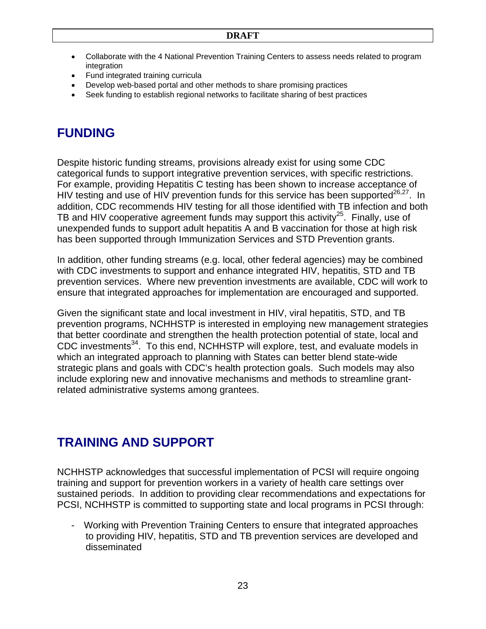- Collaborate with the 4 National Prevention Training Centers to assess needs related to program integration
- Fund integrated training curricula
- Develop web-based portal and other methods to share promising practices
- Seek funding to establish regional networks to facilitate sharing of best practices

# **FUNDING**

Despite historic funding streams, provisions already exist for using some CDC categorical funds to support integrative prevention services, with specific restrictions. For example, providing Hepatitis C testing has been shown to increase acceptance of HIV testing and use of HIV prevention funds for this service has been supported $26,27$ . In addition, CDC recommends HIV testing for all those identified with TB infection and both TB and HIV cooperative agreement funds may support this activity<sup>25</sup>. Finally, use of unexpended funds to support adult hepatitis A and B vaccination for those at high risk has been supported through Immunization Services and STD Prevention grants.

In addition, other funding streams (e.g. local, other federal agencies) may be combined with CDC investments to support and enhance integrated HIV, hepatitis, STD and TB prevention services. Where new prevention investments are available, CDC will work to ensure that integrated approaches for implementation are encouraged and supported.

Given the significant state and local investment in HIV, viral hepatitis, STD, and TB prevention programs, NCHHSTP is interested in employing new management strategies that better coordinate and strengthen the health protection potential of state, local and CDC investments<sup>34</sup>. To this end, NCHHSTP will explore, test, and evaluate models in which an integrated approach to planning with States can better blend state-wide strategic plans and goals with CDC's health protection goals. Such models may also include exploring new and innovative mechanisms and methods to streamline grantrelated administrative systems among grantees.

# **TRAINING AND SUPPORT**

NCHHSTP acknowledges that successful implementation of PCSI will require ongoing training and support for prevention workers in a variety of health care settings over sustained periods. In addition to providing clear recommendations and expectations for PCSI, NCHHSTP is committed to supporting state and local programs in PCSI through:

- Working with Prevention Training Centers to ensure that integrated approaches to providing HIV, hepatitis, STD and TB prevention services are developed and disseminated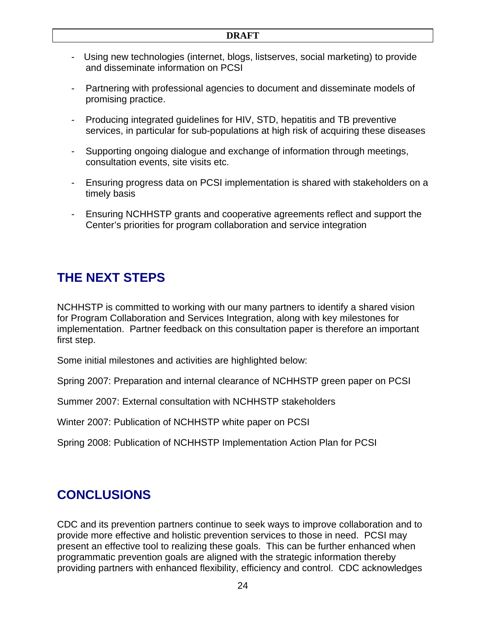- Using new technologies (internet, blogs, listserves, social marketing) to provide and disseminate information on PCSI
- Partnering with professional agencies to document and disseminate models of promising practice. -
- Producing integrated guidelines for HIV, STD, hepatitis and TB preventive services, in particular for sub-populations at high risk of acquiring these diseases -
- Supporting ongoing dialogue and exchange of information through meetings, consultation events, site visits etc.
- Ensuring progress data on PCSI implementation is shared with stakeholders on a timely basis -
- Ensuring NCHHSTP grants and cooperative agreements reflect and support the Center's priorities for program collaboration and service integration -

# **THE NEXT STEPS**

NCHHSTP is committed to working with our many partners to identify a shared vision for Program Collaboration and Services Integration, along with key milestones for implementation. Partner feedback on this consultation paper is therefore an important first step.

Some initial milestones and activities are highlighted below:

Spring 2007: Preparation and internal clearance of NCHHSTP green paper on PCSI

Summer 2007: External consultation with NCHHSTP stakeholders

Winter 2007: Publication of NCHHSTP white paper on PCSI

Spring 2008: Publication of NCHHSTP Implementation Action Plan for PCSI

# **CONCLUSIONS**

CDC and its prevention partners continue to seek ways to improve collaboration and to provide more effective and holistic prevention services to those in need. PCSI may present an effective tool to realizing these goals. This can be further enhanced when programmatic prevention goals are aligned with the strategic information thereby providing partners with enhanced flexibility, efficiency and control. CDC acknowledges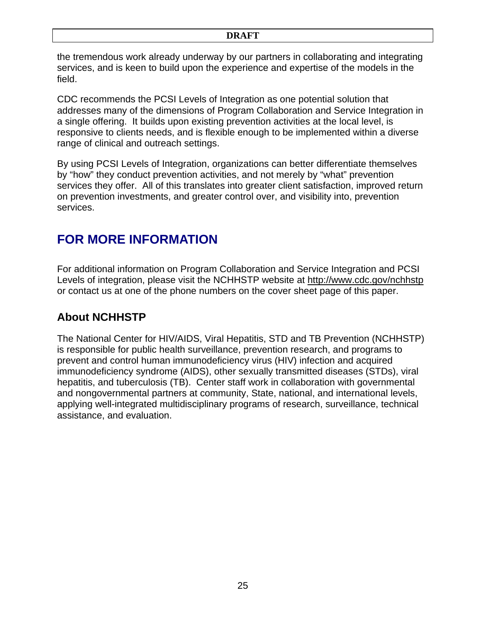the tremendous work already underway by our partners in collaborating and integrating services, and is keen to build upon the experience and expertise of the models in the field.

CDC recommends the PCSI Levels of Integration as one potential solution that addresses many of the dimensions of Program Collaboration and Service Integration in a single offering. It builds upon existing prevention activities at the local level, is responsive to clients needs, and is flexible enough to be implemented within a diverse range of clinical and outreach settings.

By using PCSI Levels of Integration, organizations can better differentiate themselves by "how" they conduct prevention activities, and not merely by "what" prevention services they offer. All of this translates into greater client satisfaction, improved return on prevention investments, and greater control over, and visibility into, prevention services.

# **FOR MORE INFORMATION**

For additional information on Program Collaboration and Service Integration and PCSI Levels of integration, please visit the NCHHSTP website at http://www.cdc.gov/nchhstp or contact us at one of the phone numbers on the cover sheet page of this paper.

## **About NCHHSTP**

The National Center for HIV/AIDS, Viral Hepatitis, STD and TB Prevention (NCHHSTP) is responsible for public health surveillance, prevention research, and programs to prevent and control human immunodeficiency virus (HIV) infection and acquired immunodeficiency syndrome (AIDS), other sexually transmitted diseases (STDs), viral hepatitis, and tuberculosis (TB). Center staff work in collaboration with governmental and nongovernmental partners at community, State, national, and international levels, applying well-integrated multidisciplinary programs of research, surveillance, technical assistance, and evaluation.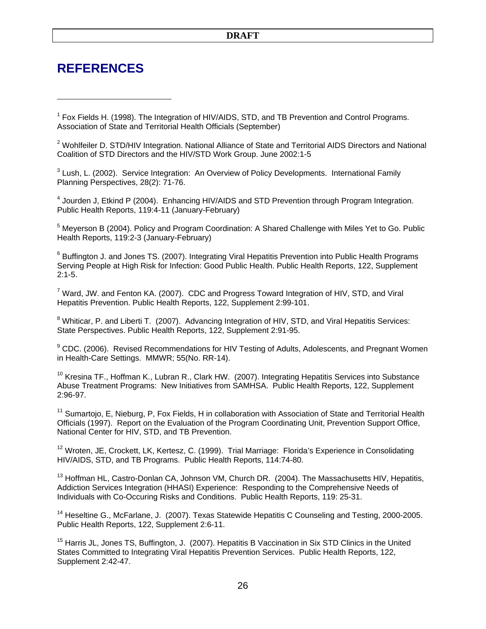## **REFERENCES**

 $\overline{a}$ 

<sup>1</sup> Fox Fields H. (1998). The Integration of HIV/AIDS, STD, and TB Prevention and Control Programs. Association of State and Territorial Health Officials (September)

<sup>2</sup> Wohlfeiler D. STD/HIV Integration. National Alliance of State and Territorial AIDS Directors and National Coalition of STD Directors and the HIV/STD Work Group. June 2002:1-5

 $3$  Lush, L. (2002). Service Integration: An Overview of Policy Developments. International Family Planning Perspectives, 28(2): 71-76.

<sup>4</sup> Jourden J, Etkind P (2004). Enhancing HIV/AIDS and STD Prevention through Program Integration. Public Health Reports, 119:4-11 (January-February)

<sup>5</sup> Meyerson B (2004). Policy and Program Coordination: A Shared Challenge with Miles Yet to Go. Public Health Reports, 119:2-3 (January-February)

<sup>6</sup> Buffington J. and Jones TS. (2007). Integrating Viral Hepatitis Prevention into Public Health Programs Serving People at High Risk for Infection: Good Public Health. Public Health Reports, 122, Supplement 2:1-5.

 $^7$  Ward, JW. and Fenton KA. (2007). CDC and Progress Toward Integration of HIV, STD, and Viral Hepatitis Prevention. Public Health Reports, 122, Supplement 2:99-101.

<sup>8</sup> Whiticar, P. and Liberti T. (2007). Advancing Integration of HIV, STD, and Viral Hepatitis Services: State Perspectives. Public Health Reports, 122, Supplement 2:91-95.

<sup>9</sup> CDC. (2006). Revised Recommendations for HIV Testing of Adults, Adolescents, and Pregnant Women in Health-Care Settings. MMWR; 55(No. RR-14).

 $10$  Kresina TF., Hoffman K., Lubran R., Clark HW. (2007). Integrating Hepatitis Services into Substance Abuse Treatment Programs: New Initiatives from SAMHSA. Public Health Reports, 122, Supplement 2:96-97.

<sup>11</sup> Sumartojo, E, Nieburg, P, Fox Fields, H in collaboration with Association of State and Territorial Health Officials (1997). Report on the Evaluation of the Program Coordinating Unit, Prevention Support Office, National Center for HIV, STD, and TB Prevention.

<sup>12</sup> Wroten, JE, Crockett, LK, Kertesz, C. (1999). Trial Marriage: Florida's Experience in Consolidating HIV/AIDS, STD, and TB Programs. Public Health Reports, 114:74-80.

<sup>13</sup> Hoffman HL, Castro-Donlan CA, Johnson VM, Church DR. (2004). The Massachusetts HIV, Hepatitis, Addiction Services Integration (HHASI) Experience: Responding to the Comprehensive Needs of Individuals with Co-Occuring Risks and Conditions. Public Health Reports, 119: 25-31.

<sup>14</sup> Heseltine G., McFarlane, J. (2007). Texas Statewide Hepatitis C Counseling and Testing, 2000-2005. Public Health Reports, 122, Supplement 2:6-11.

<sup>15</sup> Harris JL, Jones TS, Buffington, J. (2007). Hepatitis B Vaccination in Six STD Clinics in the United States Committed to Integrating Viral Hepatitis Prevention Services. Public Health Reports, 122, Supplement 2:42-47.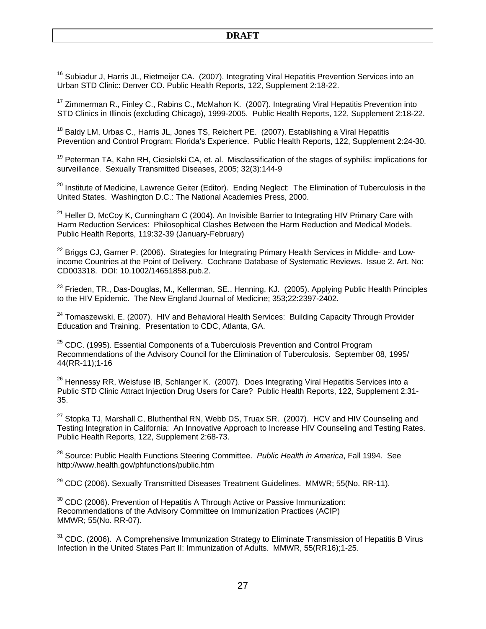<sup>16</sup> Subiadur J, Harris JL, Rietmeijer CA. (2007). Integrating Viral Hepatitis Prevention Services into an Urban STD Clinic: Denver CO. Public Health Reports, 122, Supplement 2:18-22.

 $\overline{a}$ 

 $17$  Zimmerman R., Finley C., Rabins C., McMahon K. (2007). Integrating Viral Hepatitis Prevention into STD Clinics in Illinois (excluding Chicago), 1999-2005. Public Health Reports, 122, Supplement 2:18-22.

<sup>18</sup> Baldy LM, Urbas C., Harris JL, Jones TS, Reichert PE. (2007). Establishing a Viral Hepatitis Prevention and Control Program: Florida's Experience. Public Health Reports, 122, Supplement 2:24-30.

<sup>19</sup> Peterman TA, Kahn RH, Ciesielski CA, et. al. Misclassification of the stages of syphilis: implications for surveillance. Sexually Transmitted Diseases, 2005; 32(3):144-9

<sup>20</sup> Institute of Medicine, Lawrence Geiter (Editor). Ending Neglect: The Elimination of Tuberculosis in the United States. Washington D.C.: The National Academies Press, 2000.

 $21$  Heller D, McCoy K, Cunningham C (2004). An Invisible Barrier to Integrating HIV Primary Care with Harm Reduction Services: Philosophical Clashes Between the Harm Reduction and Medical Models. Public Health Reports, 119:32-39 (January-February)

 $^{22}$  Briggs CJ, Garner P. (2006). Strategies for Integrating Primary Health Services in Middle- and Lowincome Countries at the Point of Delivery. Cochrane Database of Systematic Reviews. Issue 2. Art. No: CD003318. DOI: 10.1002/14651858.pub.2.

<sup>23</sup> Frieden. TR., Das-Douglas, M., Kellerman, SE., Henning, KJ. (2005). Applying Public Health Principles to the HIV Epidemic. The New England Journal of Medicine; 353;22:2397-2402.

<sup>24</sup> Tomaszewski, E. (2007). HIV and Behavioral Health Services: Building Capacity Through Provider Education and Training. Presentation to CDC, Atlanta, GA.

 $25$  CDC. (1995). Essential Components of a Tuberculosis Prevention and Control Program Recommendations of the Advisory Council for the Elimination of Tuberculosis. September 08, 1995/ 44(RR-11);1-16

 $26$  Hennessy RR, Weisfuse IB, Schlanger K. (2007). Does Integrating Viral Hepatitis Services into a Public STD Clinic Attract Injection Drug Users for Care? Public Health Reports, 122, Supplement 2:31- 35.

 $27$  Stopka TJ, Marshall C, Bluthenthal RN, Webb DS, Truax SR. (2007). HCV and HIV Counseling and Testing Integration in California: An Innovative Approach to Increase HIV Counseling and Testing Rates. Public Health Reports, 122, Supplement 2:68-73.

28 Source: Public Health Functions Steering Committee. *Public Health in America*, Fall 1994. See http://www.health.gov/phfunctions/public.htm

 $29$  CDC (2006). Sexually Transmitted Diseases Treatment Guidelines. MMWR; 55(No. RR-11).

 $30$  CDC (2006). Prevention of Hepatitis A Through Active or Passive Immunization: Recommendations of the Advisory Committee on Immunization Practices (ACIP) MMWR; 55(No. RR-07).

<sup>31</sup> CDC. (2006). A Comprehensive Immunization Strategy to Eliminate Transmission of Hepatitis B Virus Infection in the United States Part II: Immunization of Adults. MMWR, 55(RR16);1-25.